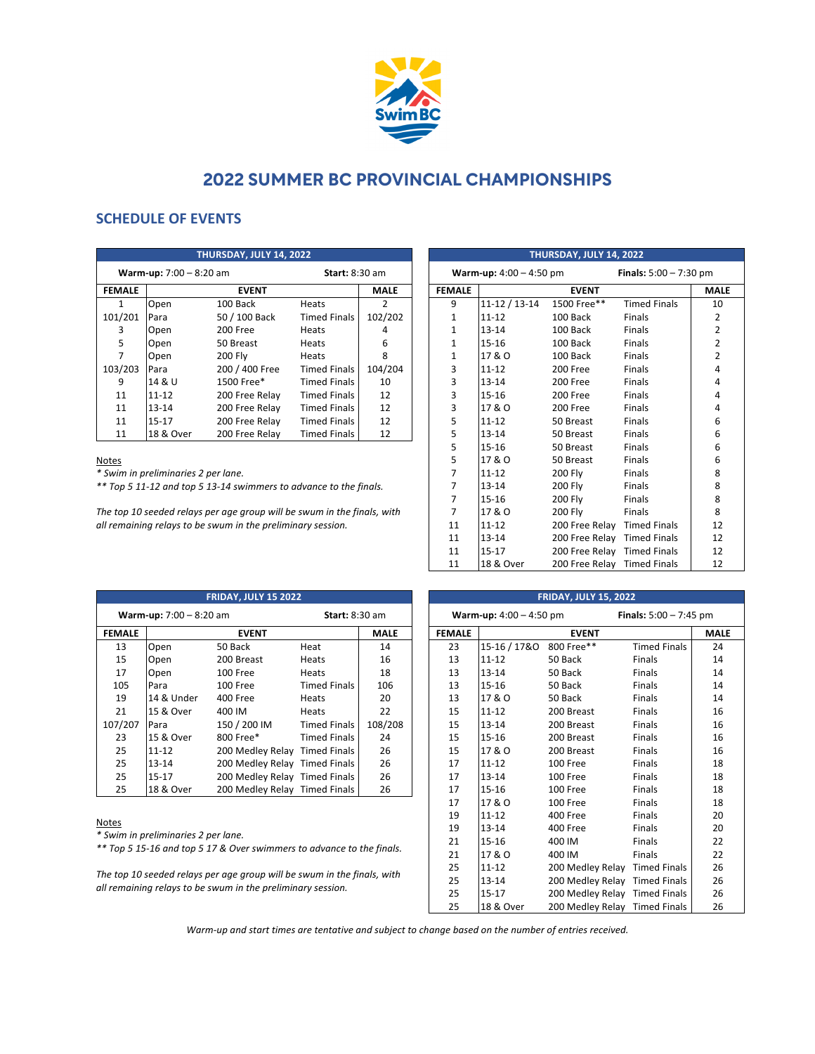

# **2022 SUMMER BC PROVINCIAL CHAMPIONSHIPS**

## **SCHEDULE OF EVENTS**

| THURSDAY, JULY 14, 2022                                   |           |                |                     |             |  |
|-----------------------------------------------------------|-----------|----------------|---------------------|-------------|--|
| <b>Warm-up:</b> $7:00 - 8:20$ am<br><b>Start: 8:30 am</b> |           |                |                     |             |  |
| <b>FEMALE</b>                                             |           | <b>EVENT</b>   |                     | <b>MALE</b> |  |
| 1                                                         | Open      | 100 Back       | Heats               | 2           |  |
| 101/201                                                   | Para      | 50 / 100 Back  | <b>Timed Finals</b> | 102/202     |  |
| 3                                                         | Open      | 200 Free       | Heats               | 4           |  |
| 5                                                         | Open      | 50 Breast      | Heats               | 6           |  |
| 7                                                         | Open      | 200 Fly        | Heats               | 8           |  |
| 103/203                                                   | Para      | 200 / 400 Free | <b>Timed Finals</b> | 104/204     |  |
| 9                                                         | 14 & U    | 1500 Free*     | <b>Timed Finals</b> | 10          |  |
| 11                                                        | 11-12     | 200 Free Relay | <b>Timed Finals</b> | 12          |  |
| 11                                                        | $13 - 14$ | 200 Free Relay | <b>Timed Finals</b> | 12          |  |
| 11                                                        | $15 - 17$ | 200 Free Relay | <b>Timed Finals</b> | 12          |  |
| 11                                                        | 18 & Over | 200 Free Relay | <b>Timed Finals</b> | 12          |  |

#### Notes

*\* Swim in preliminaries 2 per lane.*

*\*\* Top 5 11-12 and top 5 13-14 swimmers to advance to the finals.*

*The top 10 seeded relays per age group will be swum in the finals, with all remaining relays to be swum in the preliminary session.*

| THURSDAY, JULY 14, 2022          |                                 |                             |                     |                |  |
|----------------------------------|---------------------------------|-----------------------------|---------------------|----------------|--|
| <b>Warm-up:</b> $4:00 - 4:50$ pm | <b>Finals:</b> $5:00 - 7:30$ pm |                             |                     |                |  |
| <b>FEMALE</b>                    |                                 | <b>EVENT</b>                |                     | <b>MALE</b>    |  |
| 9                                | 11-12 / 13-14                   | 1500 Free**                 | <b>Timed Finals</b> | 10             |  |
| $\mathbf{1}$                     | $11 - 12$                       | 100 Back                    | <b>Finals</b>       | $\overline{2}$ |  |
| $\mathbf{1}$                     | $13 - 14$                       | 100 Back                    | <b>Finals</b>       | 2              |  |
| $\mathbf{1}$                     | $15 - 16$                       | 100 Back                    | <b>Finals</b>       | $\overline{2}$ |  |
| $\mathbf{1}$                     | 17 & O                          | 100 Back                    | Finals              | $\overline{2}$ |  |
| 3                                | $11 - 12$                       | 200 Free                    | <b>Finals</b>       | 4              |  |
| 3                                | $13 - 14$                       | 200 Free                    | <b>Finals</b>       | 4              |  |
| 3                                | $15 - 16$                       | 200 Free                    | Finals              | 4              |  |
| 3                                | 17 & O                          | 200 Free                    | <b>Finals</b>       | 4              |  |
| 5                                | $11 - 12$                       | 50 Breast                   | Finals              | 6              |  |
| 5                                | $13 - 14$                       | 50 Breast                   | <b>Finals</b>       | 6              |  |
| 5                                | $15 - 16$                       | 50 Breast                   | Finals              | 6              |  |
| 5                                | 17 & O                          | 50 Breast                   | <b>Finals</b>       | 6              |  |
| $\overline{7}$                   | $11 - 12$                       | 200 Fly                     | Finals              | 8              |  |
| $\overline{7}$                   | $13 - 14$                       | 200 Fly                     | <b>Finals</b>       | 8              |  |
| $\overline{7}$                   | $15 - 16$                       | 200 Fly                     | Finals              | 8              |  |
| $\overline{7}$                   | 17 & O                          | 200 Fly                     | <b>Finals</b>       | 8              |  |
| 11                               | $11 - 12$                       | 200 Free Relay Timed Finals |                     | 12             |  |
| 11                               | $13 - 14$                       | 200 Free Relay Timed Finals |                     | 12             |  |
| 11                               | $15 - 17$                       | 200 Free Relay Timed Finals |                     | 12             |  |
| 11                               | 18 & Over                       | 200 Free Relay Timed Finals |                     | 12             |  |

| <b>FRIDAY, JULY 15 2022</b> |                                                           |                               |                     |             |  |
|-----------------------------|-----------------------------------------------------------|-------------------------------|---------------------|-------------|--|
|                             | <b>Warm-up:</b> $7:00 - 8:20$ am<br><b>Start: 8:30 am</b> |                               |                     |             |  |
| <b>FEMALE</b>               |                                                           | <b>EVENT</b>                  |                     | <b>MALE</b> |  |
| 13                          | Open                                                      | 50 Back                       | Heat                | 14          |  |
| 15                          | Open                                                      | 200 Breast                    | Heats               | 16          |  |
| 17                          | Open                                                      | 100 Free                      | Heats               | 18          |  |
| 105                         | Para                                                      | 100 Free                      | <b>Timed Finals</b> | 106         |  |
| 19                          | 14 & Under                                                | 400 Free                      | Heats               | 20          |  |
| 21                          | 15 & Over                                                 | 400 IM                        | Heats               | 22          |  |
| 107/207                     | Para                                                      | 150 / 200 IM                  | <b>Timed Finals</b> | 108/208     |  |
| 23                          | 15 & Over                                                 | 800 Free*                     | <b>Timed Finals</b> | 24          |  |
| 25                          | $11 - 12$                                                 | 200 Medley Relay Timed Finals |                     | 26          |  |
| 25                          | $13 - 14$                                                 | 200 Medley Relay Timed Finals |                     | 26          |  |
| 25                          | $15 - 17$                                                 | 200 Medley Relay Timed Finals |                     | 26          |  |
| 25                          | 18 & Over                                                 | 200 Medley Relay Timed Finals |                     | 26          |  |

### Notes

*\* Swim in preliminaries 2 per lane.*

*\*\* Top 5 15-16 and top 5 17 & Over swimmers to advance to the finals.*

*The top 10 seeded relays per age group will be swum in the finals, with all remaining relays to be swum in the preliminary session.*

| <b>FRIDAY, JULY 15, 2022</b>                                        |              |                               |                     |             |  |
|---------------------------------------------------------------------|--------------|-------------------------------|---------------------|-------------|--|
| <b>Finals:</b> $5:00 - 7:45$ pm<br><b>Warm-up:</b> $4:00 - 4:50$ pm |              |                               |                     |             |  |
| <b>FEMALE</b>                                                       |              | <b>EVENT</b>                  |                     | <b>MALE</b> |  |
| 23                                                                  | 15-16 / 17&0 | 800 Free**                    | <b>Timed Finals</b> | 24          |  |
| 13                                                                  | 11-12        | 50 Back                       | <b>Finals</b>       | 14          |  |
| 13                                                                  | $13 - 14$    | 50 Back                       | <b>Finals</b>       | 14          |  |
| 13                                                                  | $15 - 16$    | 50 Back                       | <b>Finals</b>       | 14          |  |
| 13                                                                  | 17 & O       | 50 Back                       | <b>Finals</b>       | 14          |  |
| 15                                                                  | $11 - 12$    | 200 Breast                    | <b>Finals</b>       | 16          |  |
| 15                                                                  | $13 - 14$    | 200 Breast                    | <b>Finals</b>       | 16          |  |
| 15                                                                  | $15 - 16$    | 200 Breast                    | <b>Finals</b>       | 16          |  |
| 15                                                                  | 17 & O       | 200 Breast                    | <b>Finals</b>       | 16          |  |
| 17                                                                  | $11 - 12$    | <b>100 Free</b>               | <b>Finals</b>       | 18          |  |
| 17                                                                  | $13 - 14$    | 100 Free                      | <b>Finals</b>       | 18          |  |
| 17                                                                  | 15-16        | 100 Free                      | <b>Finals</b>       | 18          |  |
| 17                                                                  | 17 & O       | 100 Free                      | <b>Finals</b>       | 18          |  |
| 19                                                                  | $11 - 12$    | 400 Free                      | <b>Finals</b>       | 20          |  |
| 19                                                                  | $13 - 14$    | 400 Free                      | <b>Finals</b>       | 20          |  |
| 21                                                                  | 15-16        | 400 IM                        | <b>Finals</b>       | 22          |  |
| 21                                                                  | 17 & O       | 400 IM                        | <b>Finals</b>       | 22          |  |
| 25                                                                  | 11-12        | 200 Medley Relay Timed Finals |                     | 26          |  |
| 25                                                                  | $13 - 14$    | 200 Medley Relay Timed Finals |                     | 26          |  |
| 25                                                                  | $15 - 17$    | 200 Medley Relay Timed Finals |                     | 26          |  |
| 25                                                                  | 18 & Over    | 200 Medley Relay              | <b>Timed Finals</b> | 26          |  |

*Warm-up and start times are tentative and subject to change based on the number of entries received.*